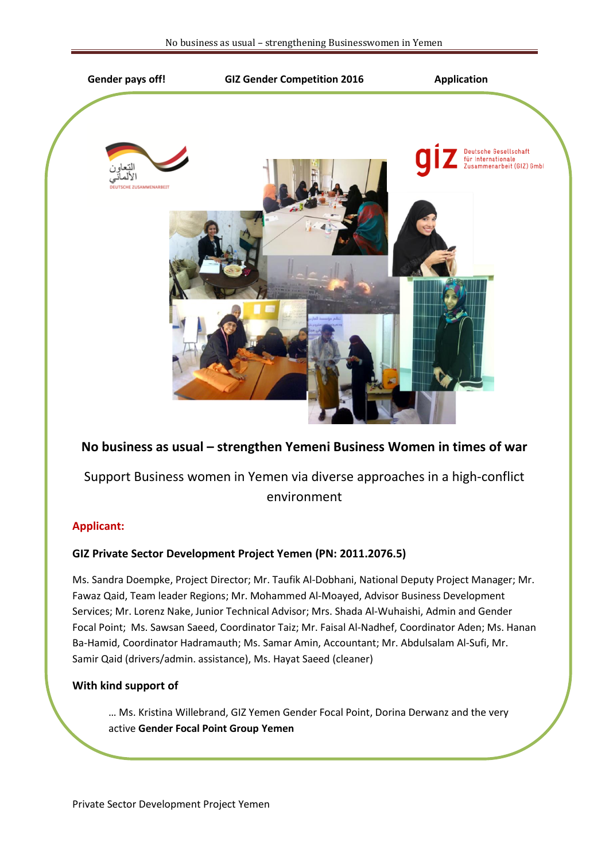

## **No business as usual – strengthen Yemeni Business Women in times of war**

Support Business women in Yemen via diverse approaches in a high-conflict environment

## **Applicant:**

## **GIZ Private Sector Development Project Yemen (PN: 2011.2076.5)**

Ms. Sandra Doempke, Project Director; Mr. Taufik Al-Dobhani, National Deputy Project Manager; Mr. Fawaz Qaid, Team leader Regions; Mr. Mohammed Al-Moayed, Advisor Business Development Services; Mr. Lorenz Nake, Junior Technical Advisor; Mrs. Shada Al-Wuhaishi, Admin and Gender Focal Point; Ms. Sawsan Saeed, Coordinator Taiz; Mr. Faisal Al-Nadhef, Coordinator Aden; Ms. Hanan Ba-Hamid, Coordinator Hadramauth; Ms. Samar Amin, Accountant; Mr. Abdulsalam Al-Sufi, Mr. Samir Qaid (drivers/admin. assistance), Ms. Hayat Saeed (cleaner)

#### **With kind support of**

… Ms. Kristina Willebrand, GIZ Yemen Gender Focal Point, Dorina Derwanz and the very active **Gender Focal Point Group Yemen**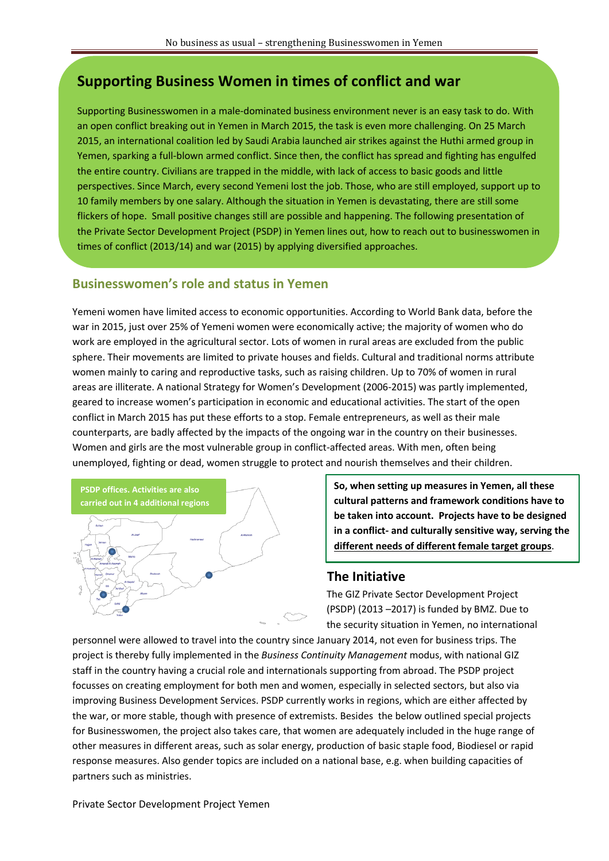# **Supporting Business Women in times of conflict and war**

Supporting Businesswomen in a male-dominated business environment never is an easy task to do. With an open conflict breaking out in Yemen in March 2015, the task is even more challenging. On 25 March 2015, an international coalition led by Saudi Arabia launched air strikes against the Huthi armed group in Yemen, sparking a full-blown armed conflict. Since then, the conflict has spread and fighting has engulfed the entire country. Civilians are trapped in the middle, with lack of access to basic goods and little perspectives. Since March, every second Yemeni lost the job. Those, who are still employed, support up to 10 family members by one salary. Although the situation in Yemen is devastating, there are still some flickers of hope. Small positive changes still are possible and happening. The following presentation of the Private Sector Development Project (PSDP) in Yemen lines out, how to reach out to businesswomen in times of conflict (2013/14) and war (2015) by applying diversified approaches.

## **Businesswomen's role and status in Yemen**

Yemeni women have limited access to economic opportunities. According to World Bank data, before the war in 2015, just over 25% of Yemeni women were economically active; the majority of women who do work are employed in the agricultural sector. Lots of women in rural areas are excluded from the public sphere. Their movements are limited to private houses and fields. Cultural and traditional norms attribute women mainly to caring and reproductive tasks, such as raising children. Up to 70% of women in rural areas are illiterate. A national Strategy for Women's Development (2006-2015) was partly implemented, geared to increase women's participation in economic and educational activities. The start of the open conflict in March 2015 has put these efforts to a stop. Female entrepreneurs, as well as their male counterparts, are badly affected by the impacts of the ongoing war in the country on their businesses. Women and girls are the most vulnerable group in conflict-affected areas. With men, often being unemployed, fighting or dead, women struggle to protect and nourish themselves and their children.



**So, when setting up measures in Yemen, all these cultural patterns and framework conditions have to be taken into account. Projects have to be designed in a conflict- and culturally sensitive way, serving the different needs of different female target groups**.

## **The Initiative**

the security situation in Yemen, no international The GIZ Private Sector Development Project (PSDP) (2013 –2017) is funded by BMZ. Due to

personnel were allowed to travel into the country since January 2014, not even for business trips. The project is thereby fully implemented in the *Business Continuity Management* modus, with national GIZ staff in the country having a crucial role and internationals supporting from abroad. The PSDP project focusses on creating employment for both men and women, especially in selected sectors, but also via improving Business Development Services. PSDP currently works in regions, which are either affected by the war, or more stable, though with presence of extremists. Besides the below outlined special projects for Businesswomen, the project also takes care, that women are adequately included in the huge range of other measures in different areas, such as solar energy, production of basic staple food, Biodiesel or rapid response measures. Also gender topics are included on a national base, e.g. when building capacities of partners such as ministries.

Private Sector Development Project Yemen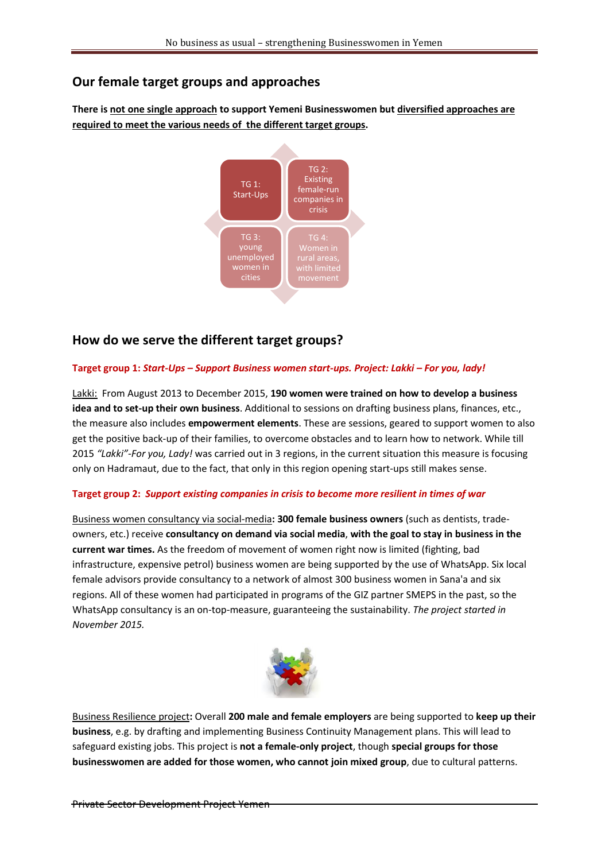# **Our female target groups and approaches**

**There is not one single approach to support Yemeni Businesswomen but diversified approaches are required to meet the various needs of the different target groups.**



# **How do we serve the different target groups?**

### **Target group 1:** *Start-Ups – Support Business women start-ups. Project: Lakki – For you, lady!*

Lakki: From August 2013 to December 2015, **190 women were trained on how to develop a business idea and to set-up their own business**. Additional to sessions on drafting business plans, finances, etc., the measure also includes **empowerment elements**. These are sessions, geared to support women to also get the positive back-up of their families, to overcome obstacles and to learn how to network. While till 2015 *"Lakki"-For you, Lady!* was carried out in 3 regions, in the current situation this measure is focusing only on Hadramaut, due to the fact, that only in this region opening start-ups still makes sense.

#### **Target group 2:** *Support existing companies in crisis to become more resilient in times of war*

Business women consultancy via social-media**: 300 female business owners** (such as dentists, tradeowners, etc.) receive **consultancy on demand via social media**, **with the goal to stay in business in the current war times.** As the freedom of movement of women right now is limited (fighting, bad infrastructure, expensive petrol) business women are being supported by the use of WhatsApp. Six local female advisors provide consultancy to a network of almost 300 business women in Sana'a and six regions. All of these women had participated in programs of the GIZ partner SMEPS in the past, so the WhatsApp consultancy is an on-top-measure, guaranteeing the sustainability. *The project started in November 2015.*



Business Resilience project**:** Overall **200 male and female employers** are being supported to **keep up their business**, e.g. by drafting and implementing Business Continuity Management plans. This will lead to safeguard existing jobs. This project is **not a female-only project**, though **special groups for those businesswomen are added for those women, who cannot join mixed group**, due to cultural patterns.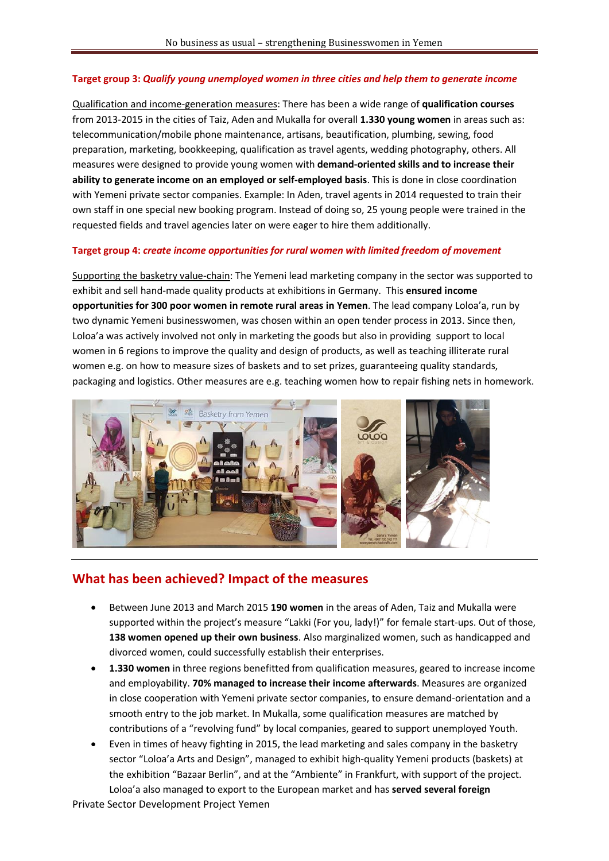#### **Target group 3:** *Qualify young unemployed women in three cities and help them to generate income*

Qualification and income-generation measures: There has been a wide range of **qualification courses** from 2013-2015 in the cities of Taiz, Aden and Mukalla for overall **1.330 young women** in areas such as: telecommunication/mobile phone maintenance, artisans, beautification, plumbing, sewing, food preparation, marketing, bookkeeping, qualification as travel agents, wedding photography, others. All measures were designed to provide young women with **demand-oriented skills and to increase their ability to generate income on an employed or self-employed basis**. This is done in close coordination with Yemeni private sector companies. Example: In Aden, travel agents in 2014 requested to train their own staff in one special new booking program. Instead of doing so, 25 young people were trained in the requested fields and travel agencies later on were eager to hire them additionally.

#### **Target group 4:** *create income opportunities for rural women with limited freedom of movement*

Supporting the basketry value-chain: The Yemeni lead marketing company in the sector was supported to exhibit and sell hand-made quality products at exhibitions in Germany. This **ensured income opportunities for 300 poor women in remote rural areas in Yemen**. The lead company Loloa'a, run by two dynamic Yemeni businesswomen, was chosen within an open tender process in 2013. Since then, Loloa'a was actively involved not only in marketing the goods but also in providing support to local women in 6 regions to improve the quality and design of products, as well as teaching illiterate rural women e.g. on how to measure sizes of baskets and to set prizes, guaranteeing quality standards, packaging and logistics. Other measures are e.g. teaching women how to repair fishing nets in homework.



## **What has been achieved? Impact of the measures**

- Between June 2013 and March 2015 **190 women** in the areas of Aden, Taiz and Mukalla were supported within the project's measure "Lakki (For you, lady!)" for female start-ups. Out of those, **138 women opened up their own business**. Also marginalized women, such as handicapped and divorced women, could successfully establish their enterprises.
- **1.330 women** in three regions benefitted from qualification measures, geared to increase income and employability. **70% managed to increase their income afterwards**. Measures are organized in close cooperation with Yemeni private sector companies, to ensure demand-orientation and a smooth entry to the job market. In Mukalla, some qualification measures are matched by contributions of a "revolving fund" by local companies, geared to support unemployed Youth.
- Even in times of heavy fighting in 2015, the lead marketing and sales company in the basketry sector "Loloa'a Arts and Design", managed to exhibit high-quality Yemeni products (baskets) at the exhibition "Bazaar Berlin", and at the "Ambiente" in Frankfurt, with support of the project. Loloa'a also managed to export to the European market and has **served several foreign**

Private Sector Development Project Yemen